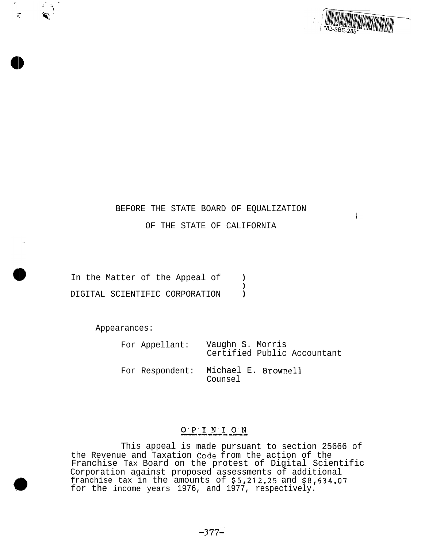

 $\cdot$ 

## BEFORE THE STATE BOARD OF EQUALIZATION

OF THE STATE OF CALIFORNIA

In the Matter of the Appeal of ) ). DIGITAL SCIENTIFIC CORPORATION )

Appearances:

 $\widehat{\mathcal{F}}$ 

For Appellant: Vaughn S. Morris Certified Public Accountant For Respondent: Michael E. Brownell Counsel

# 0 P I N I ON

This appeal is made pursuant to section 25666 of the Revenue and Taxation Code from the action of the Franchise Tax Board on the protest of Digital Scientific Corporation against proposed assessments of additional franchise tax in the amounts of \$5,212.25 and \$8,534.07 for the income years 1976, and 1977, respectively.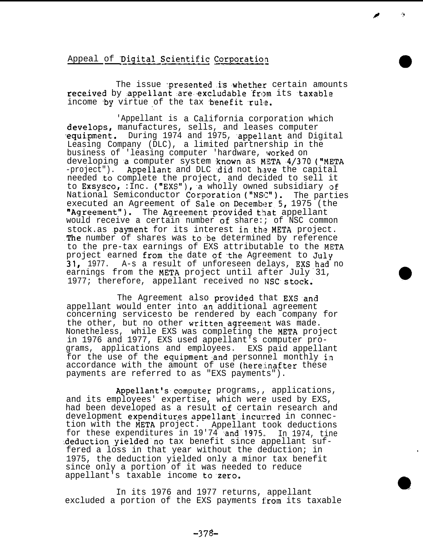The issue presented is whether certain amounts received by appellant are excludable from its taxable income by virtue of the tax benefit rule.

 $\gamma$ 

'Appellant is a California corporation which develops, manufactures, sells, and leases computer equipment. During 1974 and 1975, appellant and Digital Leasing Company (DLC), a limited partnership in the business of 'leasing computer 'hardware, worked on developing a computer system known as META 4/370 ("META  $-project$ "). Appellant and DLC did not have the capital needed to complete the project, and decided to sell it to Exsysco, : Inc. ("EXS"), a wholly owned subsidiary of National Semiconductor Corporation ("NSC"). The parties executed an Agreement of Sale on December 5, 1975 (the "Agreement"). The Agreement provided that appellant would receive a certain number of share:; of NSC common stock.as payment for its interest in the META project. The number of shares was to be determined by reference to the pre-tax earnings of EXS attributable to the META project earned from the date of the Agreement to July 31, 1977. A-s a result of unforeseen delays, EXS had no earnings from the META project until after July 31, 1977; therefore, appellant received no NSC stock.

The Agreement also provided that EXS and appellant would enter into an additional agreement concerning servicesto be rendered by each company for the other, but no other written agreement was made. Nonetheless, while EXS was completing the META project in 1976 and 1977, EXS used appellant's computer programs, applications and employees. EXS paid appellant for the use of the equipment and personnel monthly in accordance with the amount of use (hereinafter these payments are referred to as "EXS payments").

Appellant's computer programs,, applications, and its employees' expertise, which were used by EXS, had been developed as a result of certain research and development expenditures appellant incurred in connection with the META project. Appellant took deductions for these expenditures in  $19'74$  and  $1975$ . In 1974, tine deduction yielded no tax benefit since appellant suffered a loss in that year without the deduction; in 1975, the deduction yielded only a minor tax benefit since only a portion of it was needed to reduce appellant's taxable income to zero.

In its 1976 and 1977 returns, appellant excluded a portion of the EXS payments from its taxable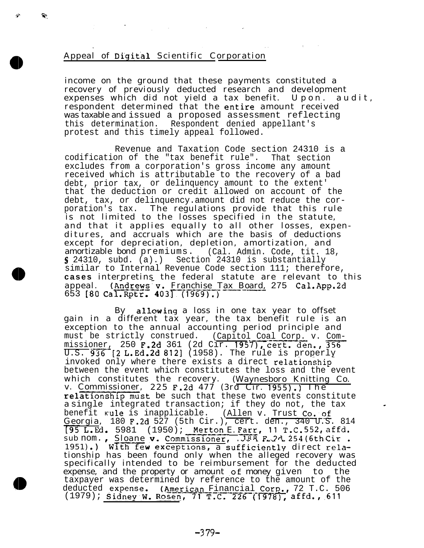and a state of the

income on the ground that these payments constituted a recovery of previously deducted research and development expenses which did not yield a tax benefit. Upon. audit, respondent determined that the entire amount received was taxable and issued a proposed assessment reflecting this determination. Respondent denied appellant's protest and this timely appeal followed.

Revenue and Taxation Code section 24310 is a codification of the "tax benefit rule". That section excludes from a corporation's gross income any amount received which is attributable to the recovery of a bad debt, prior tax, or delinquency amount to the extent' that the deduction or credit allowed on account of the debt, tax, or delinquency.amount did not reduce the corporation's tax. The regulations provide that this rule is not limited to the losses specified in the statute, and that it applies equally to all other losses, expenditures, and accruals which are the basis of deductions except for depreciation, depletion, amortization, and amortizable bond premiums. (Cal. Admin. Code, tit. 18, S 24310, subd. (a).) Section 24310 is substantially similar to Internal Revenue Code section 111; therefore, **cases** interpretins the federal statute are relevant to this appeal. (Andrews v. Franchise Tax Board, 275 Cal.App.2d  $653$   $[80 \text{ Cal-Rptr}. 403]$   $(1969)$ .)

By allowing a loss in one tax year to offset gain in a different tax year, the tax benefit rule is an exception to the annual accounting period principle and must be strictly construed. (Capitol Coal Corp. v. Commissioner, the annual accounting period principle and<br>ictly construed. (Capitol Coal Corp. v. Com-<br>250 **F.2d** 361 (2d Cir. 1957), cert. den., 356<br>**L.Ed.2d 812**] (1958). The rule is properly  $\overline{U.S.}$  936 [2 L.Ed.2d 812] (1958). The rule is properly invoked only where there exists a direct relationshipbetween the event which constitutes the loss and the event which constitutes the recovery. (Waynesboro Knitting Co. v. Commissioner, 225 F.2d 477 (3rd Cir. 1955).) The relationship must be such that these two events constitute a single integrated transaction; if they do not, the tax benefit k**ule** is inapplicable. (<u>Allen</u> v. <u>Trust Co. of</u> Georgia, 180 **F.2d** 527 (5th Cir.), cert. den., 340 U.S. 814  $\frac{Ge01g1a}{195}$ , Ed sub nom. 1951).) With few exceptions, a sufficiently direct rela-. I 80 **F.2d** 527 (5th Cir.), cert. den., 340 U.S. 81<br>5981 (1950); <u>Merton E.Farr</u>, 11 T.C.552, affd. Sloane v. Commissioner, tionship has been found only when the alleged recovery was specifically intended to be reimbursement for the deducted expense, and the property or amount  $of$  money given to the taxpayer was determined by reference to the amount of the deducted expense. (American Financial Corp., 72 T.C. 506 (1979); Sidney W. Rosen, 71 T.C. 226 (1978), affd., 611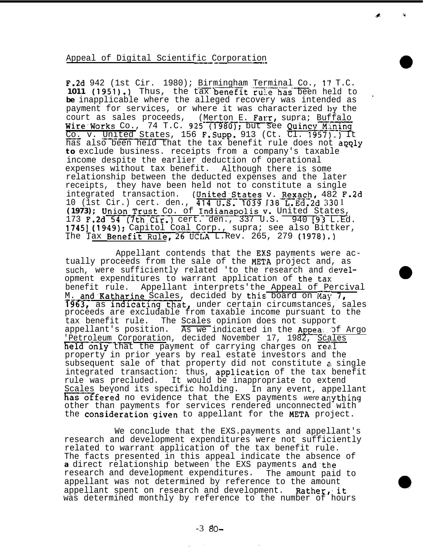**F.2d** 942 (1st Cir. 1980); <u>Birmingham Terminal Co., 17 T.C.</u><br>1011 (1951) ) Thus the tax benefit rule bas been held to 1011 (1951).) Thus, the tax benefit rule has been held to be inapplicable where the alleged recovery was intended as payment for services, or where it was characterized *by* the court as sales proceeds, (Merton E. Farr, supra; Buffalo Wire Works Co., 74 T.C. 925 (1980); but see Quincy Mining Co. v. United States, 156  $F$ . Supp. 913 (Ct. Cl. 1957).) It has also been held that the tax benefit rule does not apply **to** exclude business. receipts from a company's taxable income despite the earlier deduction of operational expenses without tax benefit. Although there is some relationship between the deducted expenses and the later receipts, they have been held not to constitute a single integrated transaction. (United States v. Rexach, 482 F.2d 10 (1st Cir.) cert. den., 414 U.S. 1039 138 L.Ed.2d 330 1 **(1973); Union Trust Co. of Indianapolis v.** United States, (1973); Union Trust Co. of Indianapolis v. United States,<br>173 F.2d 54 (7th Cir.) cert. den., 337 U.S. 940 [93 L.Ed. 1745] (1949); Capitol Coal Corp., supra; see also Bittker, The Tax Benefit Rule, 26 UCLA L.Rev. 265, 279 (1978).)

Appellant contends that the EXS payments were actually proceeds from the sale of the META project and, as such, were sufficiently related 'to the research and development expenditures to warrant application of the'tax benefit rule. Appellant interprets'the Appeal of Percival M. and Katharine Scales, decided by this board on May 7, 1963, as indicating that, under certain circumstances, sales proceeds are excludable from taxable income pursuant to the tax benefit rule. The Scales opinion does not support appellant's position. As we indicated in the Appear of Argo The Secretary of the Contractor of the Contractor of the Corporation, decided November 17, 1982, Scales Petroleum Corporation, decided November 17, 1982, Scales<br>held only that the payment of carrying charges on real property in prior years by real estate investors and the subsequent sale of that property did not constitute a single integrated transaction: thus, application of the tax benefit rule was precluded. It would be inappropriate to extend Scales beyond its specific holding. In any event, appellant has offered no evidence that the EXS payments were anything other than payments for services rendered unconnected with the consideration given to appellant for the META project.

We conclude that the EXS.payments and appellant's research and development expenditures were not sufficiently related to warrant application of the tax benefit rule. The facts presented in this appeal indicate the absence of **a** direct relationship between the EXS payments and'the research and development expenditures. The amount paid to appellant was not determined by reference to the amount appellant spent on research and development. Rather, it was determined monthly by reference to the number of hours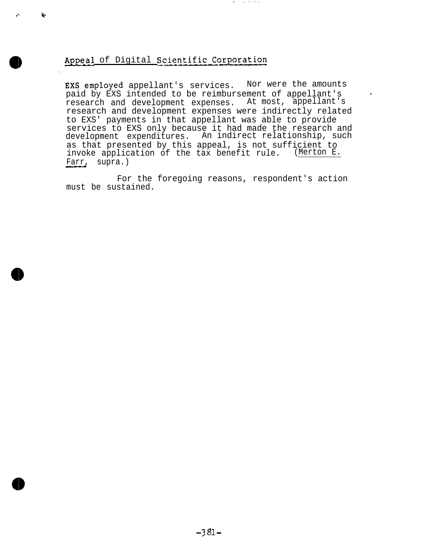ê

EXS employed appellant's services. Nor were the amounts paid by EXS intended to be reimbursement of appellant's research and development expenses. At most, appellant's research and development expenses were indirectly related to EXS' payments in that appellant was able to provide services to EXS only because it had made the research and development expenditures. An indirect relationship, such as that presented by this appeal, is not sufficient to invoke application of the tax benefit rule. (Merton E. Farr, supra.)

**The Secretary** 

For the foregoing reasons, respondent's action must be sustained.